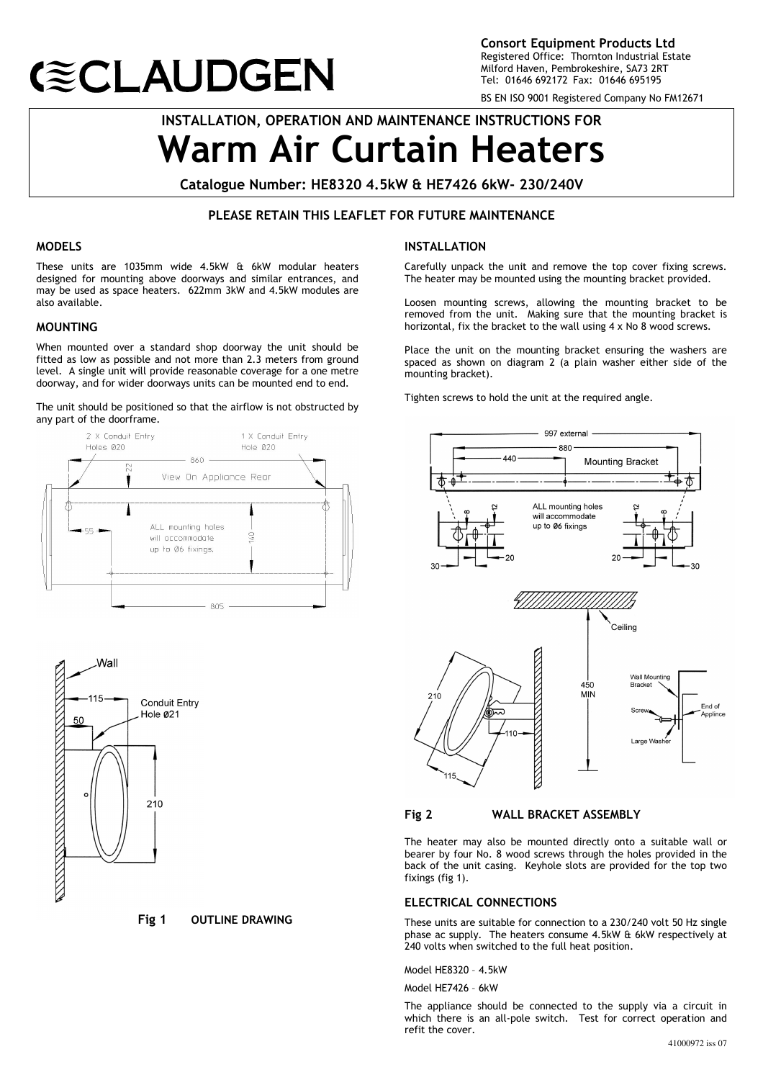# **(≋CLAUDGEN**

Consort Equipment Products Ltd Registered Office: Thornton Industrial Estate Milford Haven, Pembrokeshire, SA73 2RT Tel: 01646 692172 Fax: 01646 695195

BS EN ISO 9001 Registered Company No FM12671

# INSTALLATION, OPERATION AND MAINTENANCE INSTRUCTIONS FOR Warm Air Curtain Heaters

Catalogue Number: HE8320 4.5kW & HE7426 6kW- 230/240V

# PLEASE RETAIN THIS LEAFLET FOR FUTURE MAINTENANCE

# MODELS

 $\overline{a}$ 

These units are 1035mm wide 4.5kW & 6kW modular heaters designed for mounting above doorways and similar entrances, and may be used as space heaters. 622mm 3kW and 4.5kW modules are also available.

#### MOUNTING

When mounted over a standard shop doorway the unit should be fitted as low as possible and not more than 2.3 meters from ground level. A single unit will provide reasonable coverage for a one metre doorway, and for wider doorways units can be mounted end to end.

The unit should be positioned so that the airflow is not obstructed by any part of the doorframe.





Fig 1 OUTLINE DRAWING

#### INSTALLATION

Carefully unpack the unit and remove the top cover fixing screws. The heater may be mounted using the mounting bracket provided.

Loosen mounting screws, allowing the mounting bracket to be removed from the unit. Making sure that the mounting bracket is horizontal, fix the bracket to the wall using 4 x No 8 wood screws.

Place the unit on the mounting bracket ensuring the washers are spaced as shown on diagram 2 (a plain washer either side of the mounting bracket).

Tighten screws to hold the unit at the required angle.



#### Fig 2 WALL BRACKET ASSEMBLY

The heater may also be mounted directly onto a suitable wall or bearer by four No. 8 wood screws through the holes provided in the back of the unit casing. Keyhole slots are provided for the top two fixings (fig 1).

#### ELECTRICAL CONNECTIONS

These units are suitable for connection to a 230/240 volt 50 Hz single phase ac supply. The heaters consume 4.5kW & 6kW respectively at 240 volts when switched to the full heat position.

Model HE8320 – 4.5kW

Model HE7426 – 6kW

The appliance should be connected to the supply via a circuit in which there is an all-pole switch. Test for correct operation and refit the cover.